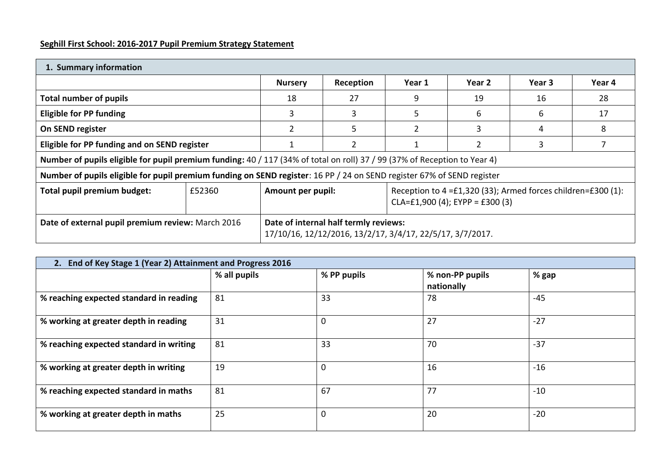# **Seghill First School: 2016-2017 Pupil Premium Strategy Statement**

| 1. Summary information                                                                                                                                  |        |                                                                                                                                |           |        |        |        |        |
|---------------------------------------------------------------------------------------------------------------------------------------------------------|--------|--------------------------------------------------------------------------------------------------------------------------------|-----------|--------|--------|--------|--------|
|                                                                                                                                                         |        | <b>Nursery</b>                                                                                                                 | Reception | Year 1 | Year 2 | Year 3 | Year 4 |
| <b>Total number of pupils</b>                                                                                                                           |        | 18                                                                                                                             | 27        | 9      | 19     | 16     | 28     |
| <b>Eligible for PP funding</b>                                                                                                                          |        |                                                                                                                                |           |        | 6      | 6      | 17     |
| On SEND register                                                                                                                                        |        |                                                                                                                                | 5         |        |        | 4      | 8      |
| Eligible for PP funding and on SEND register                                                                                                            |        |                                                                                                                                |           |        |        |        |        |
| Number of pupils eligible for pupil premium funding: 40 / 117 (34% of total on roll) 37 / 99 (37% of Reception to Year 4)                               |        |                                                                                                                                |           |        |        |        |        |
| Number of pupils eligible for pupil premium funding on SEND register: 16 PP / 24 on SEND register 67% of SEND register                                  |        |                                                                                                                                |           |        |        |        |        |
| Total pupil premium budget:                                                                                                                             | £52360 | Reception to $4 = £1,320$ (33); Armed forces children= $£300$ (1):<br>Amount per pupil:<br>$CLA = £1,900 (4); EYPP = £300 (3)$ |           |        |        |        |        |
| Date of external pupil premium review: March 2016<br>Date of internal half termly reviews:<br>17/10/16, 12/12/2016, 13/2/17, 3/4/17, 22/5/17, 3/7/2017. |        |                                                                                                                                |           |        |        |        |        |

| 2. End of Key Stage 1 (Year 2) Attainment and Progress 2016 |              |             |                               |       |  |
|-------------------------------------------------------------|--------------|-------------|-------------------------------|-------|--|
|                                                             | % all pupils | % PP pupils | % non-PP pupils<br>nationally | % gap |  |
| % reaching expected standard in reading                     | 81           | 33          | 78                            | $-45$ |  |
| % working at greater depth in reading                       | 31           | 0           | 27                            | $-27$ |  |
| % reaching expected standard in writing                     | 81           | 33          | 70                            | $-37$ |  |
| % working at greater depth in writing                       | 19           | 0           | 16                            | $-16$ |  |
| % reaching expected standard in maths                       | 81           | 67          | 77                            | $-10$ |  |
| % working at greater depth in maths                         | 25           | 0           | 20                            | $-20$ |  |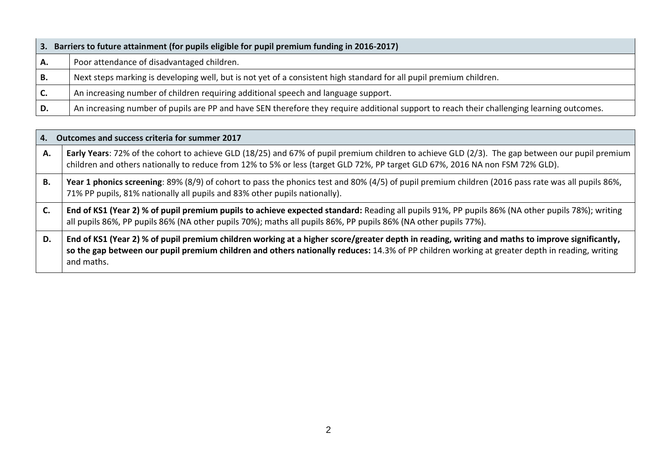| З. | Barriers to future attainment (for pupils eligible for pupil premium funding in 2016-2017)                                                 |  |  |  |  |
|----|--------------------------------------------------------------------------------------------------------------------------------------------|--|--|--|--|
| А. | Poor attendance of disadvantaged children.                                                                                                 |  |  |  |  |
| В. | Next steps marking is developing well, but is not yet of a consistent high standard for all pupil premium children.                        |  |  |  |  |
| C. | An increasing number of children requiring additional speech and language support.                                                         |  |  |  |  |
| D. | An increasing number of pupils are PP and have SEN therefore they require additional support to reach their challenging learning outcomes. |  |  |  |  |

| 4. | Outcomes and success criteria for summer 2017                                                                                                                                                                                                                                                                   |
|----|-----------------------------------------------------------------------------------------------------------------------------------------------------------------------------------------------------------------------------------------------------------------------------------------------------------------|
| А. | Early Years: 72% of the cohort to achieve GLD (18/25) and 67% of pupil premium children to achieve GLD (2/3). The gap between our pupil premium<br>children and others nationally to reduce from 12% to 5% or less (target GLD 72%, PP target GLD 67%, 2016 NA non FSM 72% GLD).                                |
| В. | Year 1 phonics screening: 89% (8/9) of cohort to pass the phonics test and 80% (4/5) of pupil premium children (2016 pass rate was all pupils 86%,<br>71% PP pupils, 81% nationally all pupils and 83% other pupils nationally).                                                                                |
| C. | End of KS1 (Year 2) % of pupil premium pupils to achieve expected standard: Reading all pupils 91%, PP pupils 86% (NA other pupils 78%); writing<br>all pupils 86%, PP pupils 86% (NA other pupils 70%); maths all pupils 86%, PP pupils 86% (NA other pupils 77%).                                             |
| D. | End of KS1 (Year 2) % of pupil premium children working at a higher score/greater depth in reading, writing and maths to improve significantly,<br>so the gap between our pupil premium children and others nationally reduces: 14.3% of PP children working at greater depth in reading, writing<br>and maths. |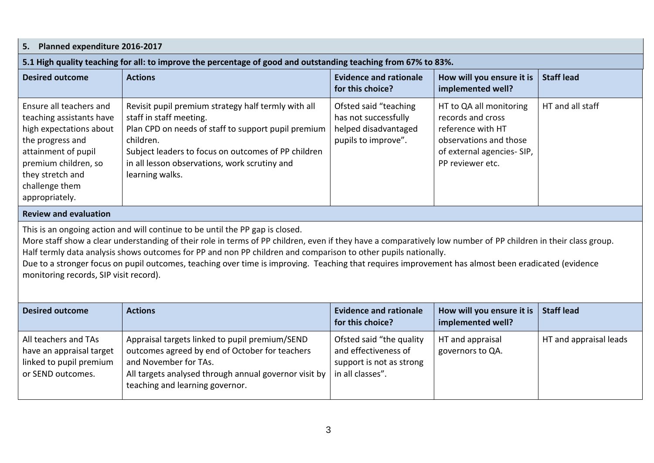| Planned expenditure 2016-2017<br>5.                                                                                                                                                                                                                                                                                                                                                                                                                                                                                                                                |                                                                                                                                                                                                                                                                               |                                                                                                  |                                                                                                                                               |                        |  |
|--------------------------------------------------------------------------------------------------------------------------------------------------------------------------------------------------------------------------------------------------------------------------------------------------------------------------------------------------------------------------------------------------------------------------------------------------------------------------------------------------------------------------------------------------------------------|-------------------------------------------------------------------------------------------------------------------------------------------------------------------------------------------------------------------------------------------------------------------------------|--------------------------------------------------------------------------------------------------|-----------------------------------------------------------------------------------------------------------------------------------------------|------------------------|--|
|                                                                                                                                                                                                                                                                                                                                                                                                                                                                                                                                                                    | 5.1 High quality teaching for all: to improve the percentage of good and outstanding teaching from 67% to 83%.                                                                                                                                                                |                                                                                                  |                                                                                                                                               |                        |  |
| <b>Desired outcome</b>                                                                                                                                                                                                                                                                                                                                                                                                                                                                                                                                             | <b>Actions</b>                                                                                                                                                                                                                                                                | <b>Evidence and rationale</b><br>for this choice?                                                | How will you ensure it is<br>implemented well?                                                                                                | <b>Staff lead</b>      |  |
| Ensure all teachers and<br>teaching assistants have<br>high expectations about<br>the progress and<br>attainment of pupil<br>premium children, so<br>they stretch and<br>challenge them<br>appropriately.                                                                                                                                                                                                                                                                                                                                                          | Revisit pupil premium strategy half termly with all<br>staff in staff meeting.<br>Plan CPD on needs of staff to support pupil premium<br>children.<br>Subject leaders to focus on outcomes of PP children<br>in all lesson observations, work scrutiny and<br>learning walks. | Ofsted said "teaching<br>has not successfully<br>helped disadvantaged<br>pupils to improve".     | HT to QA all monitoring<br>records and cross<br>reference with HT<br>observations and those<br>of external agencies- SIP,<br>PP reviewer etc. | HT and all staff       |  |
| <b>Review and evaluation</b>                                                                                                                                                                                                                                                                                                                                                                                                                                                                                                                                       |                                                                                                                                                                                                                                                                               |                                                                                                  |                                                                                                                                               |                        |  |
| This is an ongoing action and will continue to be until the PP gap is closed.<br>More staff show a clear understanding of their role in terms of PP children, even if they have a comparatively low number of PP children in their class group.<br>Half termly data analysis shows outcomes for PP and non PP children and comparison to other pupils nationally.<br>Due to a stronger focus on pupil outcomes, teaching over time is improving. Teaching that requires improvement has almost been eradicated (evidence<br>monitoring records, SIP visit record). |                                                                                                                                                                                                                                                                               |                                                                                                  |                                                                                                                                               |                        |  |
| <b>Desired outcome</b>                                                                                                                                                                                                                                                                                                                                                                                                                                                                                                                                             | <b>Actions</b>                                                                                                                                                                                                                                                                | <b>Evidence and rationale</b><br>for this choice?                                                | How will you ensure it is<br>implemented well?                                                                                                | <b>Staff lead</b>      |  |
| All teachers and TAs<br>have an appraisal target<br>linked to pupil premium<br>or SEND outcomes.                                                                                                                                                                                                                                                                                                                                                                                                                                                                   | Appraisal targets linked to pupil premium/SEND<br>outcomes agreed by end of October for teachers<br>and November for TAs.<br>All targets analysed through annual governor visit by<br>teaching and learning governor.                                                         | Ofsted said "the quality<br>and effectiveness of<br>support is not as strong<br>in all classes". | HT and appraisal<br>governors to QA.                                                                                                          | HT and appraisal leads |  |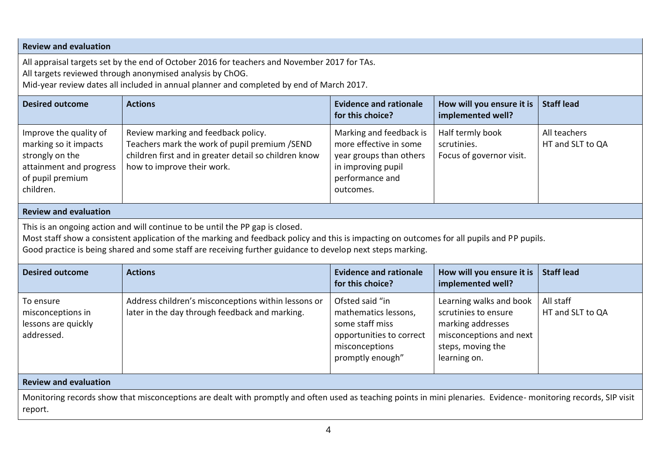## **Review and evaluation**

All appraisal targets set by the end of October 2016 for teachers and November 2017 for TAs.

All targets reviewed through anonymised analysis by ChOG.

Mid-year review dates all included in annual planner and completed by end of March 2017.

| <b>Desired outcome</b>                                                                                                         | <b>Actions</b>                                                                                                                                                                                                                                                                                                                             | <b>Evidence and rationale</b><br>for this choice?                                                                                  | How will you ensure it is<br>implemented well?                                                                                       | <b>Staff lead</b>                |
|--------------------------------------------------------------------------------------------------------------------------------|--------------------------------------------------------------------------------------------------------------------------------------------------------------------------------------------------------------------------------------------------------------------------------------------------------------------------------------------|------------------------------------------------------------------------------------------------------------------------------------|--------------------------------------------------------------------------------------------------------------------------------------|----------------------------------|
| Improve the quality of<br>marking so it impacts<br>strongly on the<br>attainment and progress<br>of pupil premium<br>children. | Review marking and feedback policy.<br>Teachers mark the work of pupil premium /SEND<br>children first and in greater detail so children know<br>how to improve their work.                                                                                                                                                                | Marking and feedback is<br>more effective in some<br>year groups than others<br>in improving pupil<br>performance and<br>outcomes. | Half termly book<br>scrutinies.<br>Focus of governor visit.                                                                          | All teachers<br>HT and SLT to QA |
| <b>Review and evaluation</b>                                                                                                   |                                                                                                                                                                                                                                                                                                                                            |                                                                                                                                    |                                                                                                                                      |                                  |
|                                                                                                                                | This is an ongoing action and will continue to be until the PP gap is closed.<br>Most staff show a consistent application of the marking and feedback policy and this is impacting on outcomes for all pupils and PP pupils.<br>Good practice is being shared and some staff are receiving further guidance to develop next steps marking. |                                                                                                                                    |                                                                                                                                      |                                  |
| <b>Desired outcome</b>                                                                                                         | <b>Actions</b>                                                                                                                                                                                                                                                                                                                             | <b>Evidence and rationale</b><br>for this choice?                                                                                  | How will you ensure it is<br>implemented well?                                                                                       | <b>Staff lead</b>                |
| To ensure<br>misconceptions in<br>lessons are quickly<br>addressed.                                                            | Address children's misconceptions within lessons or<br>later in the day through feedback and marking.                                                                                                                                                                                                                                      | Ofsted said "in<br>mathematics lessons,<br>some staff miss<br>opportunities to correct<br>misconceptions<br>promptly enough"       | Learning walks and book<br>scrutinies to ensure<br>marking addresses<br>misconceptions and next<br>steps, moving the<br>learning on. | All staff<br>HT and SLT to QA    |
| <b>Review and evaluation</b>                                                                                                   |                                                                                                                                                                                                                                                                                                                                            |                                                                                                                                    |                                                                                                                                      |                                  |
| report.                                                                                                                        | Monitoring records show that misconceptions are dealt with promptly and often used as teaching points in mini plenaries. Evidence- monitoring records, SIP visit                                                                                                                                                                           |                                                                                                                                    |                                                                                                                                      |                                  |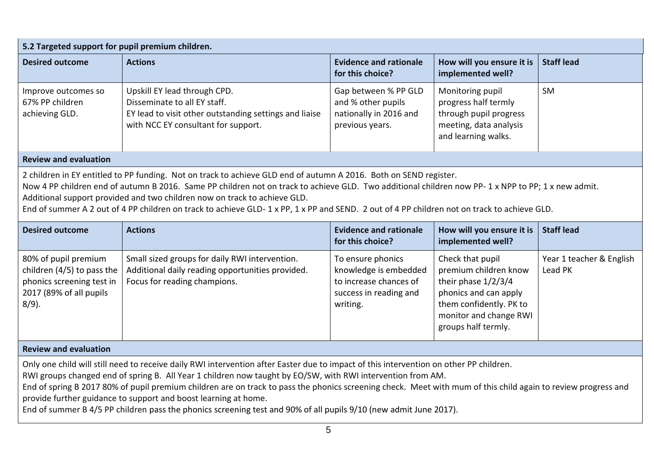| 5.2 Targeted support for pupil premium children.                                                                                                                                                                                                                                                                                                                                                                                                                                                                                                                                                               |                                                                                                                                                               |                                                                                                            |                                                                                                                                                                       |                                     |  |
|----------------------------------------------------------------------------------------------------------------------------------------------------------------------------------------------------------------------------------------------------------------------------------------------------------------------------------------------------------------------------------------------------------------------------------------------------------------------------------------------------------------------------------------------------------------------------------------------------------------|---------------------------------------------------------------------------------------------------------------------------------------------------------------|------------------------------------------------------------------------------------------------------------|-----------------------------------------------------------------------------------------------------------------------------------------------------------------------|-------------------------------------|--|
| <b>Desired outcome</b>                                                                                                                                                                                                                                                                                                                                                                                                                                                                                                                                                                                         | <b>Actions</b>                                                                                                                                                | <b>Evidence and rationale</b><br>for this choice?                                                          | How will you ensure it is<br>implemented well?                                                                                                                        | <b>Staff lead</b>                   |  |
| Improve outcomes so<br>67% PP children<br>achieving GLD.                                                                                                                                                                                                                                                                                                                                                                                                                                                                                                                                                       | Upskill EY lead through CPD.<br>Disseminate to all EY staff.<br>EY lead to visit other outstanding settings and liaise<br>with NCC EY consultant for support. | Gap between % PP GLD<br>and % other pupils<br>nationally in 2016 and<br>previous years.                    | Monitoring pupil<br>progress half termly<br>through pupil progress<br>meeting, data analysis<br>and learning walks.                                                   | <b>SM</b>                           |  |
| <b>Review and evaluation</b>                                                                                                                                                                                                                                                                                                                                                                                                                                                                                                                                                                                   |                                                                                                                                                               |                                                                                                            |                                                                                                                                                                       |                                     |  |
| 2 children in EY entitled to PP funding. Not on track to achieve GLD end of autumn A 2016. Both on SEND register.<br>Now 4 PP children end of autumn B 2016. Same PP children not on track to achieve GLD. Two additional children now PP-1 x NPP to PP; 1 x new admit.<br>Additional support provided and two children now on track to achieve GLD.<br>End of summer A 2 out of 4 PP children on track to achieve GLD-1 x PP, 1 x PP and SEND. 2 out of 4 PP children not on track to achieve GLD.                                                                                                            |                                                                                                                                                               |                                                                                                            |                                                                                                                                                                       |                                     |  |
| <b>Desired outcome</b>                                                                                                                                                                                                                                                                                                                                                                                                                                                                                                                                                                                         | <b>Actions</b>                                                                                                                                                | <b>Evidence and rationale</b><br>for this choice?                                                          | How will you ensure it is<br>implemented well?                                                                                                                        | <b>Staff lead</b>                   |  |
| 80% of pupil premium<br>children (4/5) to pass the<br>phonics screening test in<br>2017 (89% of all pupils<br>$8/9$ ).                                                                                                                                                                                                                                                                                                                                                                                                                                                                                         | Small sized groups for daily RWI intervention.<br>Additional daily reading opportunities provided.<br>Focus for reading champions.                            | To ensure phonics<br>knowledge is embedded<br>to increase chances of<br>success in reading and<br>writing. | Check that pupil<br>premium children know<br>their phase 1/2/3/4<br>phonics and can apply<br>them confidently. PK to<br>monitor and change RWI<br>groups half termly. | Year 1 teacher & English<br>Lead PK |  |
| <b>Review and evaluation</b>                                                                                                                                                                                                                                                                                                                                                                                                                                                                                                                                                                                   |                                                                                                                                                               |                                                                                                            |                                                                                                                                                                       |                                     |  |
| Only one child will still need to receive daily RWI intervention after Easter due to impact of this intervention on other PP children.<br>RWI groups changed end of spring B. All Year 1 children now taught by EO/SW, with RWI intervention from AM.<br>End of spring B 2017 80% of pupil premium children are on track to pass the phonics screening check. Meet with mum of this child again to review progress and<br>provide further guidance to support and boost learning at home.<br>End of summer B 4/5 PP children pass the phonics screening test and 90% of all pupils 9/10 (new admit June 2017). |                                                                                                                                                               |                                                                                                            |                                                                                                                                                                       |                                     |  |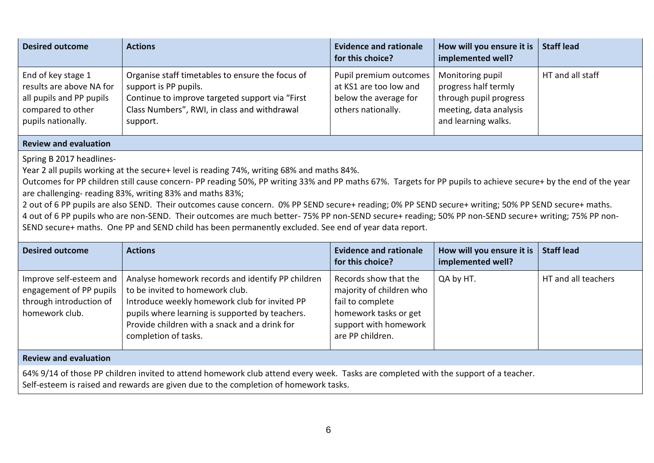| <b>Desired outcome</b>                                                                                                | <b>Actions</b>                                                                                                                                                                            | <b>Evidence and rationale</b><br>for this choice?                                               | How will you ensure it is<br>implemented well?                                                                      | <b>Staff lead</b> |
|-----------------------------------------------------------------------------------------------------------------------|-------------------------------------------------------------------------------------------------------------------------------------------------------------------------------------------|-------------------------------------------------------------------------------------------------|---------------------------------------------------------------------------------------------------------------------|-------------------|
| End of key stage 1<br>results are above NA for<br>all pupils and PP pupils<br>compared to other<br>pupils nationally. | Organise staff timetables to ensure the focus of<br>support is PP pupils.<br>Continue to improve targeted support via "First"<br>Class Numbers", RWI, in class and withdrawal<br>support. | Pupil premium outcomes<br>at KS1 are too low and<br>below the average for<br>others nationally. | Monitoring pupil<br>progress half termly<br>through pupil progress<br>meeting, data analysis<br>and learning walks. | HT and all staff  |

#### **Review and evaluation**

Spring B 2017 headlines-

Year 2 all pupils working at the secure+ level is reading 74%, writing 68% and maths 84%.

Outcomes for PP children still cause concern- PP reading 50%, PP writing 33% and PP maths 67%. Targets for PP pupils to achieve secure+ by the end of the year are challenging- reading 83%, writing 83% and maths 83%;

2 out of 6 PP pupils are also SEND. Their outcomes cause concern. 0% PP SEND secure+ reading; 0% PP SEND secure+ writing; 50% PP SEND secure+ maths. 4 out of 6 PP pupils who are non-SEND. Their outcomes are much better- 75% PP non-SEND secure+ reading; 50% PP non-SEND secure+ writing; 75% PP non-SEND secure+ maths. One PP and SEND child has been permanently excluded. See end of year data report.

| Desired outcome                                                                                 | <b>Actions</b>                                                                                                                                                                                                                                                    | <b>Evidence and rationale</b><br>for this choice?                                                                                           | How will you ensure it is<br>implemented well? | <b>Staff lead</b>   |
|-------------------------------------------------------------------------------------------------|-------------------------------------------------------------------------------------------------------------------------------------------------------------------------------------------------------------------------------------------------------------------|---------------------------------------------------------------------------------------------------------------------------------------------|------------------------------------------------|---------------------|
| Improve self-esteem and<br>engagement of PP pupils<br>through introduction of<br>homework club. | Analyse homework records and identify PP children<br>to be invited to homework club.<br>Introduce weekly homework club for invited PP<br>pupils where learning is supported by teachers.<br>Provide children with a snack and a drink for<br>completion of tasks. | Records show that the<br>majority of children who<br>fail to complete<br>homework tasks or get<br>support with homework<br>are PP children. | QA by HT.                                      | HT and all teachers |
| <b>Review and evaluation</b>                                                                    |                                                                                                                                                                                                                                                                   |                                                                                                                                             |                                                |                     |

64% 9/14 of those PP children invited to attend homework club attend every week. Tasks are completed with the support of a teacher. Self-esteem is raised and rewards are given due to the completion of homework tasks.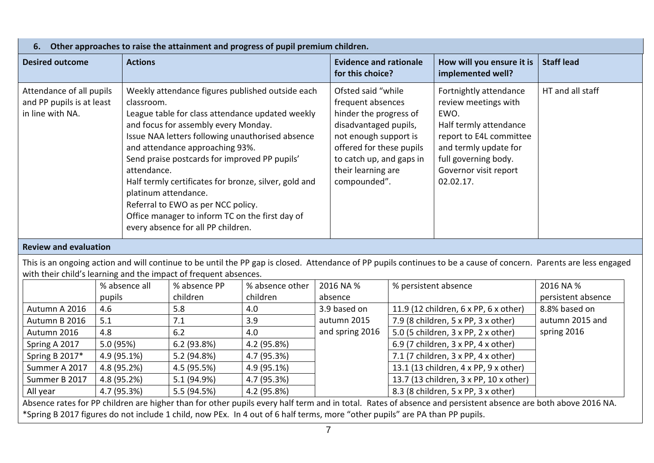| Other approaches to raise the attainment and progress of pupil premium children.<br>6. |                                                                                                                                                                                                                                                                                                                                                                                                                                                                                                                                   |                                                                                                                                                                                                                    |                                                                                                                                                                                                    |                   |  |  |
|----------------------------------------------------------------------------------------|-----------------------------------------------------------------------------------------------------------------------------------------------------------------------------------------------------------------------------------------------------------------------------------------------------------------------------------------------------------------------------------------------------------------------------------------------------------------------------------------------------------------------------------|--------------------------------------------------------------------------------------------------------------------------------------------------------------------------------------------------------------------|----------------------------------------------------------------------------------------------------------------------------------------------------------------------------------------------------|-------------------|--|--|
| <b>Desired outcome</b>                                                                 | <b>Actions</b>                                                                                                                                                                                                                                                                                                                                                                                                                                                                                                                    | <b>Evidence and rationale</b><br>for this choice?                                                                                                                                                                  | How will you ensure it is<br>implemented well?                                                                                                                                                     | <b>Staff lead</b> |  |  |
| Attendance of all pupils<br>and PP pupils is at least<br>in line with NA.              | Weekly attendance figures published outside each<br>classroom.<br>League table for class attendance updated weekly<br>and focus for assembly every Monday.<br>Issue NAA letters following unauthorised absence<br>and attendance approaching 93%.<br>Send praise postcards for improved PP pupils'<br>attendance.<br>Half termly certificates for bronze, silver, gold and<br>platinum attendance.<br>Referral to EWO as per NCC policy.<br>Office manager to inform TC on the first day of<br>every absence for all PP children. | Ofsted said "while"<br>frequent absences<br>hinder the progress of<br>disadvantaged pupils,<br>not enough support is<br>offered for these pupils<br>to catch up, and gaps in<br>their learning are<br>compounded". | Fortnightly attendance<br>review meetings with<br>EWO.<br>Half termly attendance<br>report to E4L committee<br>and termly update for<br>full governing body.<br>Governor visit report<br>02.02.17. | HT and all staff  |  |  |

# **Review and evaluation**

This is an ongoing action and will continue to be until the PP gap is closed. Attendance of PP pupils continues to be a cause of concern. Parents are less engaged with their child's learning and the impact of frequent absences.

|                | % absence all | % absence PP | % absence other | 2016 NA %       | % persistent absence                   | 2016 NA %          |
|----------------|---------------|--------------|-----------------|-----------------|----------------------------------------|--------------------|
|                | pupils        | children     | children        | absence         |                                        | persistent absence |
| Autumn A 2016  | 4.6           | 5.8          | 4.0             | 3.9 based on    | 11.9 (12 children, 6 x PP, 6 x other)  | 8.8% based on      |
| Autumn B 2016  | 5.1           | 7.1          | 3.9             | autumn 2015     | 7.9 (8 children, 5 x PP, 3 x other)    | autumn 2015 and    |
| Autumn 2016    | 4.8           | 6.2          | 4.0             | and spring 2016 | 5.0 (5 children, 3 x PP, 2 x other)    | spring 2016        |
| Spring A 2017  | 5.0(95%)      | 6.2(93.8%)   | 4.2 (95.8%)     |                 | 6.9 (7 children, 3 x PP, 4 x other)    |                    |
| Spring B 2017* | 4.9 (95.1%)   | 5.2 (94.8%)  | 4.7 (95.3%)     |                 | 7.1 (7 children, 3 x PP, 4 x other)    |                    |
| Summer A 2017  | 4.8 (95.2%)   | 4.5 (95.5%)  | $4.9(95.1\%)$   |                 | 13.1 (13 children, 4 x PP, 9 x other)  |                    |
| Summer B 2017  | 4.8 (95.2%)   | 5.1 (94.9%)  | 4.7 (95.3%)     |                 | 13.7 (13 children, 3 x PP, 10 x other) |                    |
| All year       | 4.7 (95.3%)   | 5.5 (94.5%)  | 4.2 (95.8%)     |                 | 8.3 (8 children, 5 x PP, 3 x other)    |                    |

Absence rates for PP children are higher than for other pupils every half term and in total. Rates of absence and persistent absence are both above 2016 NA. \*Spring B 2017 figures do not include 1 child, now PEx. In 4 out of 6 half terms, more "other pupils" are PA than PP pupils.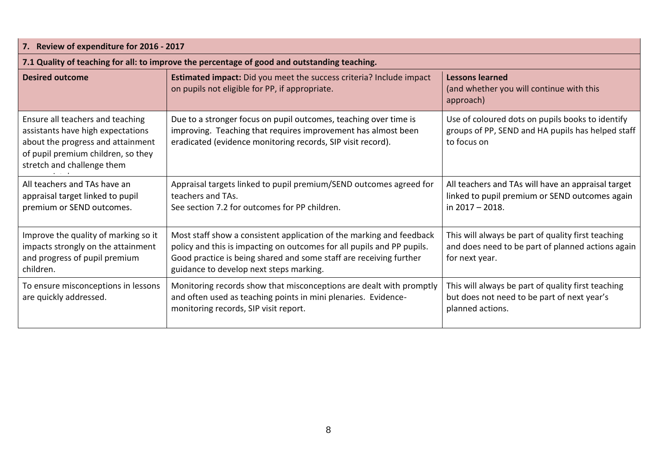| 7. Review of expenditure for 2016 - 2017                                                                                                                                       |                                                                                                                                                                                                                                                                 |                                                                                                                           |  |  |  |
|--------------------------------------------------------------------------------------------------------------------------------------------------------------------------------|-----------------------------------------------------------------------------------------------------------------------------------------------------------------------------------------------------------------------------------------------------------------|---------------------------------------------------------------------------------------------------------------------------|--|--|--|
|                                                                                                                                                                                | 7.1 Quality of teaching for all: to improve the percentage of good and outstanding teaching.                                                                                                                                                                    |                                                                                                                           |  |  |  |
| <b>Desired outcome</b>                                                                                                                                                         | <b>Estimated impact:</b> Did you meet the success criteria? Include impact<br>on pupils not eligible for PP, if appropriate.                                                                                                                                    | <b>Lessons learned</b><br>(and whether you will continue with this<br>approach)                                           |  |  |  |
| Ensure all teachers and teaching<br>assistants have high expectations<br>about the progress and attainment<br>of pupil premium children, so they<br>stretch and challenge them | Due to a stronger focus on pupil outcomes, teaching over time is<br>improving. Teaching that requires improvement has almost been<br>eradicated (evidence monitoring records, SIP visit record).                                                                | Use of coloured dots on pupils books to identify<br>groups of PP, SEND and HA pupils has helped staff<br>to focus on      |  |  |  |
| All teachers and TAs have an<br>appraisal target linked to pupil<br>premium or SEND outcomes.                                                                                  | Appraisal targets linked to pupil premium/SEND outcomes agreed for<br>teachers and TAs.<br>See section 7.2 for outcomes for PP children.                                                                                                                        | All teachers and TAs will have an appraisal target<br>linked to pupil premium or SEND outcomes again<br>in 2017 - 2018.   |  |  |  |
| Improve the quality of marking so it<br>impacts strongly on the attainment<br>and progress of pupil premium<br>children.                                                       | Most staff show a consistent application of the marking and feedback<br>policy and this is impacting on outcomes for all pupils and PP pupils.<br>Good practice is being shared and some staff are receiving further<br>guidance to develop next steps marking. | This will always be part of quality first teaching<br>and does need to be part of planned actions again<br>for next year. |  |  |  |
| To ensure misconceptions in lessons<br>are quickly addressed.                                                                                                                  | Monitoring records show that misconceptions are dealt with promptly<br>and often used as teaching points in mini plenaries. Evidence-<br>monitoring records, SIP visit report.                                                                                  | This will always be part of quality first teaching<br>but does not need to be part of next year's<br>planned actions.     |  |  |  |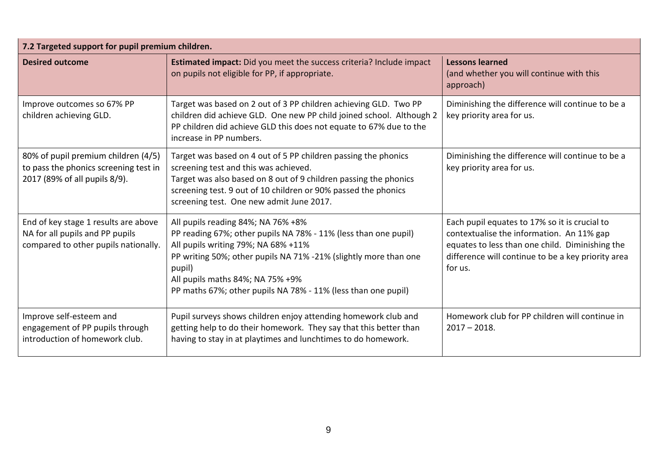| 7.2 Targeted support for pupil premium children.                                                                |                                                                                                                                                                                                                                                                                                                                 |                                                                                                                                                                                                                |  |  |
|-----------------------------------------------------------------------------------------------------------------|---------------------------------------------------------------------------------------------------------------------------------------------------------------------------------------------------------------------------------------------------------------------------------------------------------------------------------|----------------------------------------------------------------------------------------------------------------------------------------------------------------------------------------------------------------|--|--|
| <b>Desired outcome</b>                                                                                          | <b>Estimated impact:</b> Did you meet the success criteria? Include impact<br>on pupils not eligible for PP, if appropriate.                                                                                                                                                                                                    | <b>Lessons learned</b><br>(and whether you will continue with this<br>approach)                                                                                                                                |  |  |
| Improve outcomes so 67% PP<br>children achieving GLD.                                                           | Diminishing the difference will continue to be a<br>Target was based on 2 out of 3 PP children achieving GLD. Two PP<br>children did achieve GLD. One new PP child joined school. Although 2<br>key priority area for us.<br>PP children did achieve GLD this does not equate to 67% due to the<br>increase in PP numbers.      |                                                                                                                                                                                                                |  |  |
| 80% of pupil premium children (4/5)<br>to pass the phonics screening test in<br>2017 (89% of all pupils 8/9).   | Target was based on 4 out of 5 PP children passing the phonics<br>screening test and this was achieved.<br>Target was also based on 8 out of 9 children passing the phonics<br>screening test. 9 out of 10 children or 90% passed the phonics<br>screening test. One new admit June 2017.                                       | Diminishing the difference will continue to be a<br>key priority area for us.                                                                                                                                  |  |  |
| End of key stage 1 results are above<br>NA for all pupils and PP pupils<br>compared to other pupils nationally. | All pupils reading 84%; NA 76% +8%<br>PP reading 67%; other pupils NA 78% - 11% (less than one pupil)<br>All pupils writing 79%; NA 68% +11%<br>PP writing 50%; other pupils NA 71% -21% (slightly more than one<br>pupil)<br>All pupils maths 84%; NA 75% +9%<br>PP maths 67%; other pupils NA 78% - 11% (less than one pupil) | Each pupil equates to 17% so it is crucial to<br>contextualise the information. An 11% gap<br>equates to less than one child. Diminishing the<br>difference will continue to be a key priority area<br>for us. |  |  |
| Improve self-esteem and<br>engagement of PP pupils through<br>introduction of homework club.                    | Pupil surveys shows children enjoy attending homework club and<br>getting help to do their homework. They say that this better than<br>having to stay in at playtimes and lunchtimes to do homework.                                                                                                                            | Homework club for PP children will continue in<br>$2017 - 2018.$                                                                                                                                               |  |  |